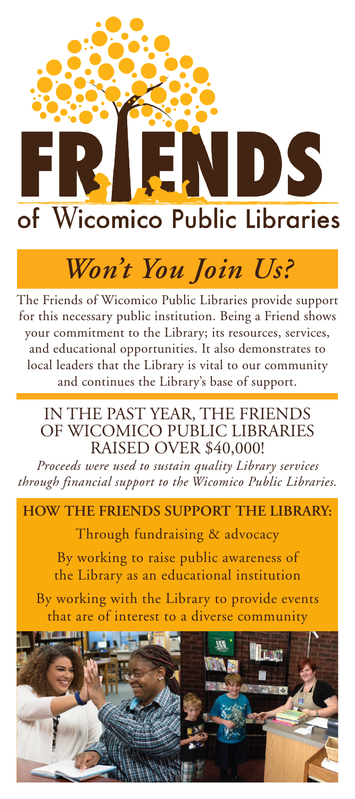

# *Won't You Join Us?*

The Friends of Wicomico Public Libraries provide support for this necessary public institution. Being a Friend shows your commitment to the Library; its resources, services, and educational opportunities. It also demonstrates to local leaders that the Library is vital to our community and continues the Library's base of support.

### IN THE PAST YEAR, THE FRIENDS OF WICOMICO PUBLIC LIBRARIES RAISED OVER \$40,000!

*Proceeds were used to sustain quality Library services through financial support to the Wicomico Public Libraries.* 

#### **HOW THE FRIENDS SUPPORT THE LIBRARY:**

Through fundraising & advocacy

By working to raise public awareness of the Library as an educational institution

By working with the Library to provide events that are of interest to a diverse community